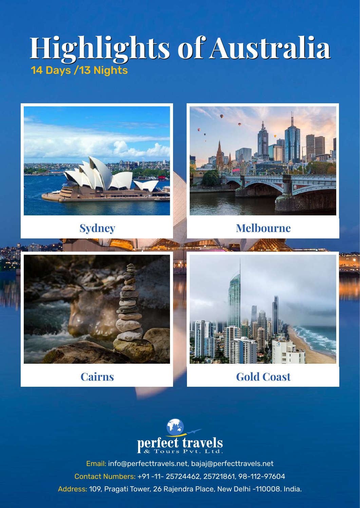# **Highlights of Australia Highlights of Australia** 14 Days /13 Nights





**Sydney Melbourne**





**Cairns Gold Coast** 

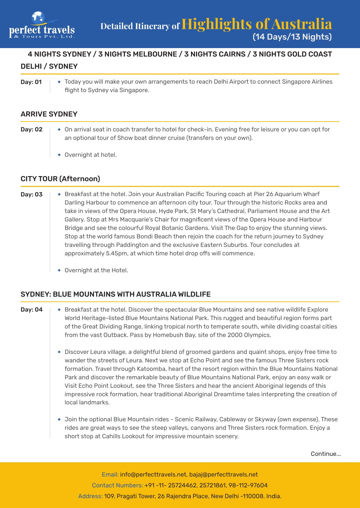

## 4 NIGHTS SYDNEY / 3 NIGHTS MELBOURNE / 3 NIGHTS CAIRNS / 3 NIGHTS GOLD COAST DELHI / SYDNEY

Day: 01  $\rightarrow$  Today you will make your own arrangements to reach Delhi Airport to connect Singapore Airlines flight to Sydney via Singapore.

## ARRIVE SYDNEY

Day: 02  $\rightarrow$  On arrival seat in coach transfer to hotel for check-in. Evening free for leisure or you can opt for an optional tour of Show boat dinner cruise (transfers on your own). Overnight at hotel.

#### CITY TOUR (Afternoon)

- Day: 03 |  $\leftrightarrow$  Breakfast at the hotel. Join your Australian Pacific Touring coach at Pier 26 Aquarium Wharf Darling Harbour to commence an afternoon city tour. Tour through the historic Rocks area and take in views of the Opera House, Hyde Park, St Mary's Cathedral, Parliament House and the Art Gallery. Stop at Mrs Macquarie's Chair for magnificent views of the Opera House and Harbour Bridge and see the colourful Royal Botanic Gardens. Visit The Gap to enjoy the stunning views. Stop at the world famous Bondi Beach then rejoin the coach for the return journey to Sydney travelling through Paddington and the exclusive Eastern Suburbs. Tour concludes at approximately 5.45pm, at which time hotel drop offs will commence.
	- Overnight at the Hotel.

#### SYDNEY: BLUE MOUNTAINS WITH AUSTRALIA WILDLIFE

- Day: 04 Sreakfast at the hotel. Discover the spectacular Blue Mountains and see native wildlife Explore World Heritage-listed Blue Mountains National Park. This rugged and beautiful region forms part of the Great Dividing Range, linking tropical north to temperate south, while dividing coastal cities from the vast Outback. Pass by Homebush Bay, site of the 2000 Olympics.
	- Discover Leura village, a delightful blend of groomed gardens and quaint shops, enjoy free time to wander the streets of Leura. Next we stop at Echo Point and see the famous Three Sisters rock formation. Travel through Katoomba, heart of the resort region within the Blue Mountains National Park and discover the remarkable beauty of Blue Mountains National Park, enjoy an easy walk or Visit Echo Point Lookout, see the Three Sisters and hear the ancient Aboriginal legends of this impressive rock formation, hear traditional Aboriginal Dreamtime tales interpreting the creation of local landmarks.
	- Join the optional Blue Mountain rides Scenic Railway, Cableway or Skyway (own expense). These rides are great ways to see the steep valleys, canyons and Three Sisters rock formation. Enjoy a short stop at Cahills Lookout for impressive mountain scenery.

Continue...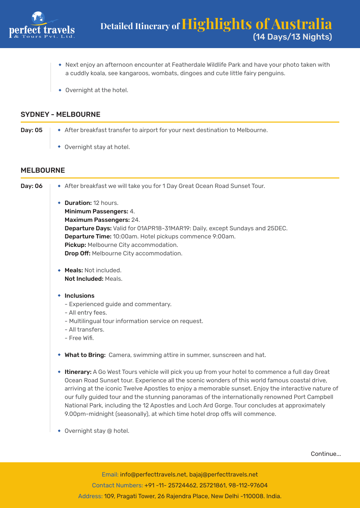

- Next enjoy an afternoon encounter at Featherdale Wildlife Park and have your photo taken with a cuddly koala, see kangaroos, wombats, dingoes and cute little fairy penguins.
- Overnight at the hotel.

#### SYDNEY - MELBOURNE

| Day: 05 | • After breakfast transfer to airport for your next destination to Melbourne. |
|---------|-------------------------------------------------------------------------------|
|         | $\rightarrow$ Overnight stay at hotel.                                        |

MELBOURNE

Day: 06 After breakfast we will take you for 1 Day Great Ocean Road Sunset Tour. ◆ **Duration:** 12 hours. Minimum Passengers: 4. Maximum Passengers: 24. Departure Days: Valid for 01APR18-31MAR19: Daily, except Sundays and 25DEC. Departure Time: 10:00am. Hotel pickups commence 9:00am. Pickup: Melbourne City accommodation. **Drop Off:** Melbourne City accommodation. Meals: Not included. Not Included: Meals.  $\cdot$  Inclusions - Experienced guide and commentary. - All entry fees. - Multilingual tour information service on request. - All transfers. - Free Wifi. What to Bring: Camera, swimming attire in summer, sunscreen and hat. **Itinerary:** A Go West Tours vehicle will pick you up from your hotel to commence a full day Great Ocean Road Sunset tour. Experience all the scenic wonders of this world famous coastal drive, arriving at the iconic Twelve Apostles to enjoy a memorable sunset. Enjoy the interactive nature of our fully guided tour and the stunning panoramas of the internationally renowned Port Campbell National Park, including the 12 Apostles and Loch Ard Gorge. Tour concludes at approximately 9.00pm-midnight (seasonally), at which time hotel drop offs will commence. Overnight stay @ hotel.

Continue...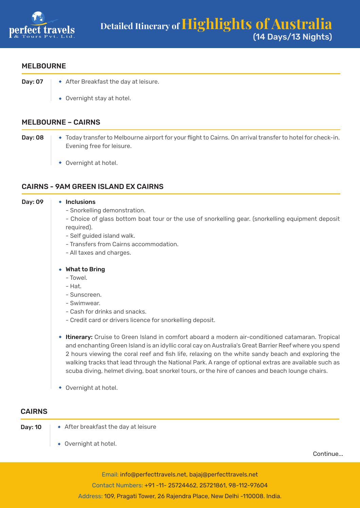

#### MELBOURNE

- **Day: 07**  $\rightarrow$  After Breakfast the day at leisure.
	- Overnight stay at hotel.

#### MELBOURNE – CAIRNS

- Day: 08  $\rightarrow$  Today transfer to Melbourne airport for your flight to Cairns. On arrival transfer to hotel for check-in. Evening free for leisure.
	- Overnight at hotel.

### CAIRNS - 9AM GREEN ISLAND EX CAIRNS

| Day: 09       | $\cdot$ Inclusions                                                                                                                                                                                                                                                                                                                                                                                                                                                                                                                 |
|---------------|------------------------------------------------------------------------------------------------------------------------------------------------------------------------------------------------------------------------------------------------------------------------------------------------------------------------------------------------------------------------------------------------------------------------------------------------------------------------------------------------------------------------------------|
|               | - Snorkelling demonstration.                                                                                                                                                                                                                                                                                                                                                                                                                                                                                                       |
|               | - Choice of glass bottom boat tour or the use of snorkelling gear. (snorkelling equipment deposit                                                                                                                                                                                                                                                                                                                                                                                                                                  |
|               | required).                                                                                                                                                                                                                                                                                                                                                                                                                                                                                                                         |
|               | - Self guided island walk.                                                                                                                                                                                                                                                                                                                                                                                                                                                                                                         |
|               | - Transfers from Cairns accommodation.                                                                                                                                                                                                                                                                                                                                                                                                                                                                                             |
|               | - All taxes and charges.                                                                                                                                                                                                                                                                                                                                                                                                                                                                                                           |
|               | ◆ What to Bring                                                                                                                                                                                                                                                                                                                                                                                                                                                                                                                    |
|               | - Towel.                                                                                                                                                                                                                                                                                                                                                                                                                                                                                                                           |
|               | - Hat.                                                                                                                                                                                                                                                                                                                                                                                                                                                                                                                             |
|               | - Sunscreen.                                                                                                                                                                                                                                                                                                                                                                                                                                                                                                                       |
|               | - Swimwear.                                                                                                                                                                                                                                                                                                                                                                                                                                                                                                                        |
|               | - Cash for drinks and snacks.                                                                                                                                                                                                                                                                                                                                                                                                                                                                                                      |
|               | - Credit card or drivers licence for snorkelling deposit.                                                                                                                                                                                                                                                                                                                                                                                                                                                                          |
|               | <b>* Itinerary:</b> Cruise to Green Island in comfort aboard a modern air-conditioned catamaran. Tropical<br>and enchanting Green Island is an idyllic coral cay on Australia's Great Barrier Reef where you spend<br>2 hours viewing the coral reef and fish life, relaxing on the white sandy beach and exploring the<br>walking tracks that lead through the National Park. A range of optional extras are available such as<br>scuba diving, helmet diving, boat snorkel tours, or the hire of canoes and beach lounge chairs. |
|               | • Overnight at hotel.                                                                                                                                                                                                                                                                                                                                                                                                                                                                                                              |
| <b>CAIRNS</b> |                                                                                                                                                                                                                                                                                                                                                                                                                                                                                                                                    |
|               |                                                                                                                                                                                                                                                                                                                                                                                                                                                                                                                                    |

- 
- **Day: 10**  $\rightarrow$  After breakfast the day at leisure
	- Overnight at hotel.

Continue...